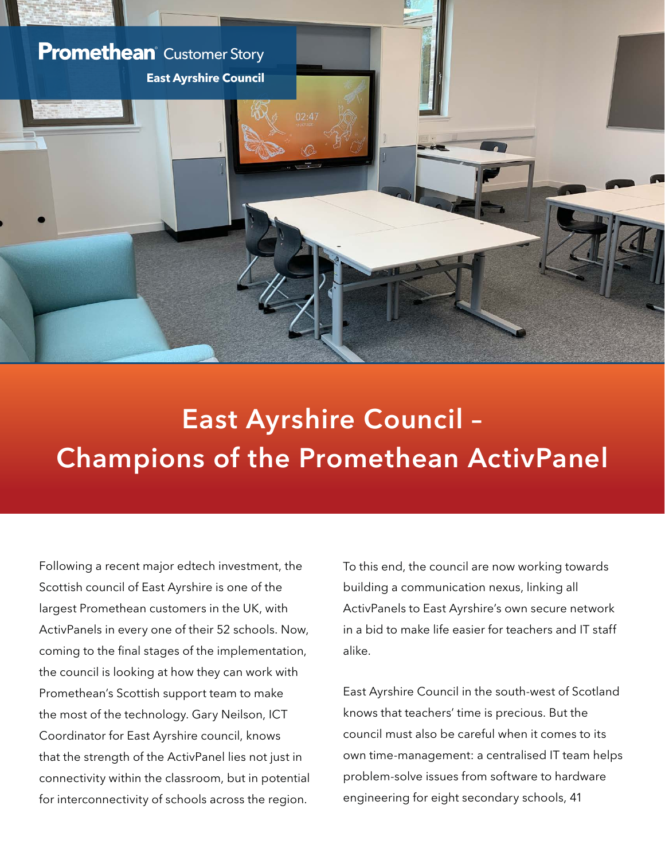

## East Ayrshire Council – Champions of the Promethean ActivPanel

Following a recent major edtech investment, the Scottish council of East Ayrshire is one of the largest Promethean customers in the UK, with ActivPanels in every one of their 52 schools. Now, coming to the final stages of the implementation, the council is looking at how they can work with Promethean's Scottish support team to make the most of the technology. Gary Neilson, ICT Coordinator for East Ayrshire council, knows that the strength of the ActivPanel lies not just in connectivity within the classroom, but in potential for interconnectivity of schools across the region.

To this end, the council are now working towards building a communication nexus, linking all ActivPanels to East Ayrshire's own secure network in a bid to make life easier for teachers and IT staff alike.

East Ayrshire Council in the south-west of Scotland knows that teachers' time is precious. But the council must also be careful when it comes to its own time-management: a centralised IT team helps problem-solve issues from software to hardware engineering for eight secondary schools, 41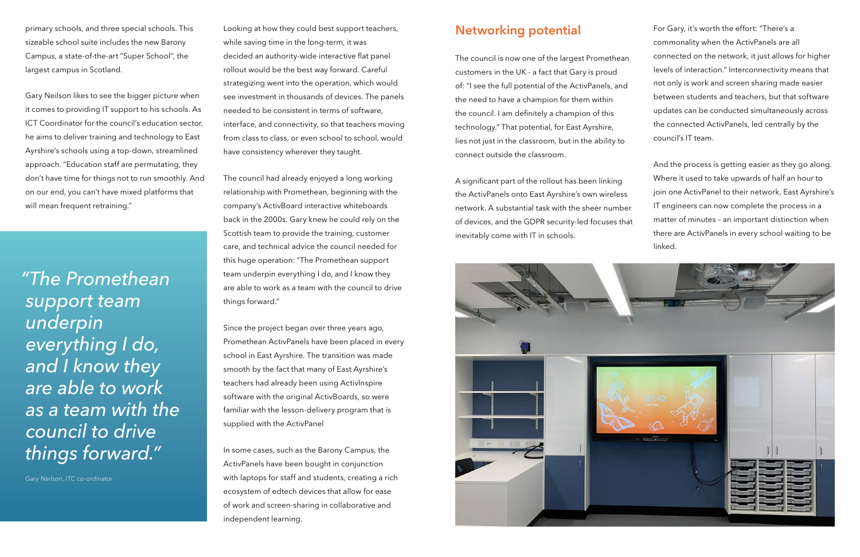primary schools, and three special schools. This sizeable school suite includes the new Barony Campus, a state-of-the-art "Super School", the largest campus in Scotland.

Gary Neilson likes to see the bigger picture when it comes to providing IT support to his schools. As ICT Coordinator for the council's education sector, he aims to deliver training and technology to East Ayrshire's schools using a top-down, streamlined approach. "Education staff are permutating, they don't have time for things not to run smoothly. And on our end, you can't have mixed platforms that will mean frequent retraining."

Looking at how they could best support teachers, while saving time in the long-term, it was decided an authority-wide interactive flat panel rollout would be the best way forward. Careful strategizing went into the operation, which would see investment in thousands of devices. The panels needed to be consistent in terms of software, interface, and connectivity, so that teachers moving from class to class, or even school to school, would have consistency wherever they taught.

The council had already enjoyed a long working relationship with Promethean, beginning with the company's ActivBoard interactive whiteboards back in the 2000s. Gary knew he could rely on the Scottish team to provide the training, customer care, and technical advice the council needed for this huge operation: "The Promethean support team underpin everything I do, and I know they are able to work as a team with the council to drive things forward."

Since the project began over three years ago, Promethean ActivPanels have been placed in every school in East Ayrshire. The transition was made smooth by the fact that many of East Ayrshire's teachers had already been using ActivInspire software with the original ActivBoards, so were familiar with the lesson-delivery program that is supplied with the ActivPanel

In some cases, such as the Barony Campus, the ActivPanels have been bought in conjunction with laptops for staff and students, creating a rich ecosystem of edtech devices that allow for ease of work and screen-sharing in collaborative and independent learning.

## Networking potential

The council is now one of the largest Promethean customers in the UK - a fact that Gary is proud of: "I see the full potential of the ActivPanels, and the need to have a champion for them within the council. I am definitely a champion of this technology." That potential, for East Ayrshire, lies not just in the classroom, but in the ability to connect outside the classroom.

A significant part of the rollout has been linking the ActivPanels onto East Ayrshire's own wireless network. A substantial task with the sheer number of devices, and the GDPR security-led focuses that inevitably come with IT in schools.



For Gary, it's worth the effort: "There's a commonality when the ActivPanels are all connected on the network, it just allows for higher levels of interaction." Interconnectivity means that not only is work and screen sharing made easier between students and teachers, but that software updates can be conducted simultaneously across the connected ActivPanels, led centrally by the council's IT team.

And the process is getting easier as they go along. Where it used to take upwards of half an hour to join one ActivPanel to their network, East Ayrshire's IT engineers can now complete the process in a matter of minutes – an important distinction when there are ActivPanels in every school waiting to be linked.

*"The Promethean support team underpin everything I do, and I know they are able to work as a team with the council to drive things forward."*

*Gary Neilson, ITC co-ordinator*